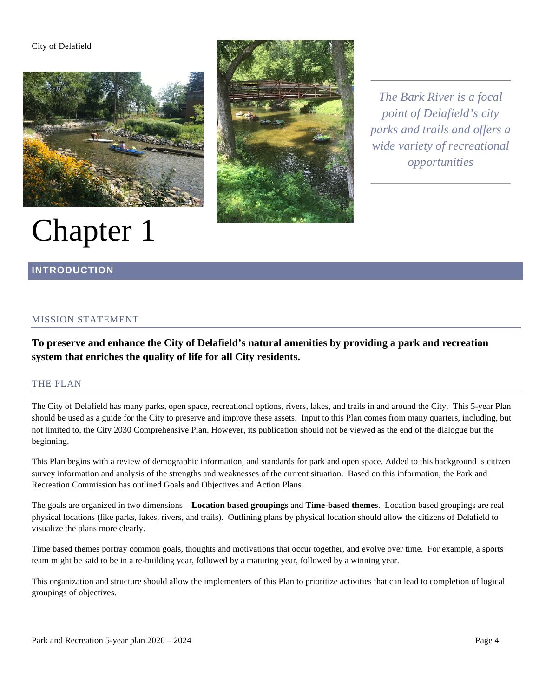#### City of Delafield



# Chapter 1



*The Bark River is a focal point of Delafield's city parks and trails and offers a wide variety of recreational opportunities*

# **INTRODUCTION**

## MISSION STATEMENT

**To preserve and enhance the City of Delafield's natural amenities by providing a park and recreation system that enriches the quality of life for all City residents.**

#### THE PLAN

The City of Delafield has many parks, open space, recreational options, rivers, lakes, and trails in and around the City. This 5-year Plan should be used as a guide for the City to preserve and improve these assets. Input to this Plan comes from many quarters, including, but not limited to, the City 2030 Comprehensive Plan. However, its publication should not be viewed as the end of the dialogue but the beginning.

This Plan begins with a review of demographic information, and standards for park and open space. Added to this background is citizen survey information and analysis of the strengths and weaknesses of the current situation. Based on this information, the Park and Recreation Commission has outlined Goals and Objectives and Action Plans.

The goals are organized in two dimensions – **Location based groupings** and **Time-based themes**. Location based groupings are real physical locations (like parks, lakes, rivers, and trails). Outlining plans by physical location should allow the citizens of Delafield to visualize the plans more clearly.

Time based themes portray common goals, thoughts and motivations that occur together, and evolve over time. For example, a sports team might be said to be in a re-building year, followed by a maturing year, followed by a winning year.

This organization and structure should allow the implementers of this Plan to prioritize activities that can lead to completion of logical groupings of objectives.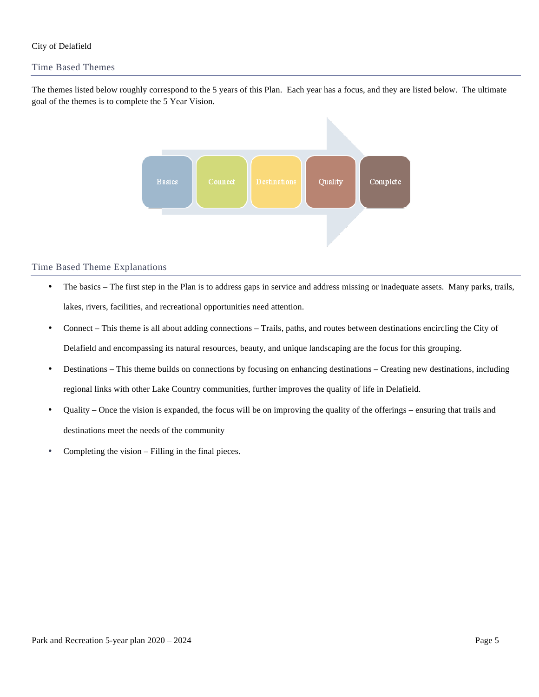### City of Delafield

### Time Based Themes

The themes listed below roughly correspond to the 5 years of this Plan. Each year has a focus, and they are listed below. The ultimate goal of the themes is to complete the 5 Year Vision.



#### Time Based Theme Explanations

- The basics The first step in the Plan is to address gaps in service and address missing or inadequate assets. Many parks, trails, lakes, rivers, facilities, and recreational opportunities need attention.
- Connect This theme is all about adding connections Trails, paths, and routes between destinations encircling the City of Delafield and encompassing its natural resources, beauty, and unique landscaping are the focus for this grouping.
- Destinations This theme builds on connections by focusing on enhancing destinations Creating new destinations, including regional links with other Lake Country communities, further improves the quality of life in Delafield.
- Quality Once the vision is expanded, the focus will be on improving the quality of the offerings ensuring that trails and destinations meet the needs of the community
- Completing the vision Filling in the final pieces.